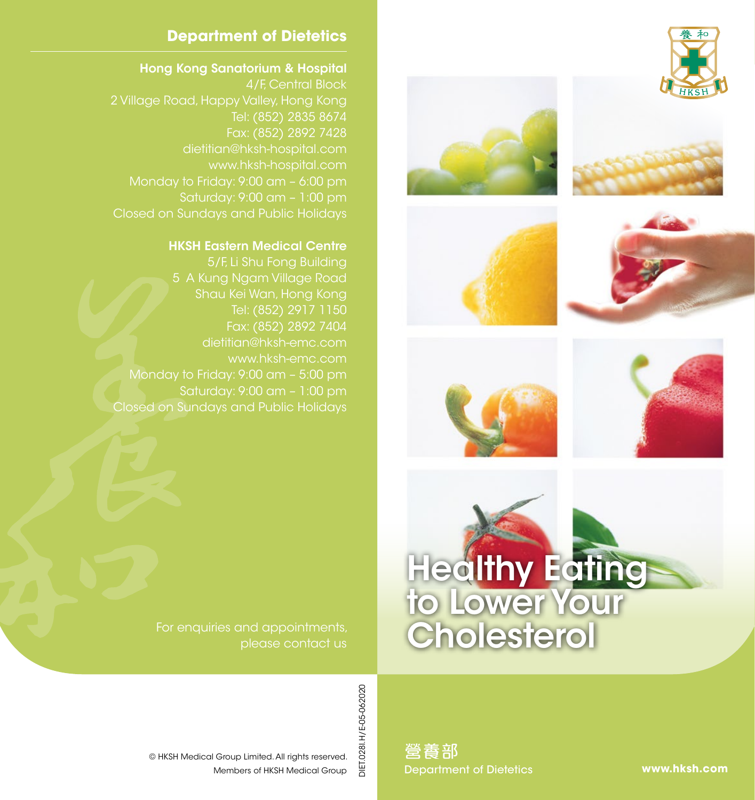













# **Department of Dietetics**

### Hong Kong Sanatorium & Hospital

4/F, Central Block 2 Village Road, Happy Valley, Hong Kong Tel: (852) 2835 8674 dietitian@hksh-hospital.com www.hksh-hospital.com Monday to Friday: 9:00 am – 6:00 pm Saturday: 9:00 am – 1:00 pm Closed on Sundays and Public Holidays

### HKSH Eastern Medical Centre

5/F, Li Shu Fong Building 5 A Kung Ngam Village Road Shau Kei Wan, Hong Kong Tel: (852) 2917 1150 Fax: (852) 2892 7404 www.hksh-emc.com Monday to Friday: 9:00 am – 5:00 pm Saturday: 9:00 am – 1:00 pm Closed on Sundays and Public Holidays

> For enquiries and appointments, please contact us

> > DIET.028I.H/E-05-062020 DIET.028I.H/E-05-062020

Members of HKSH Medical Group © HKSH Medical Group Limited. All rights reserved.

營養部 Department of Dietetics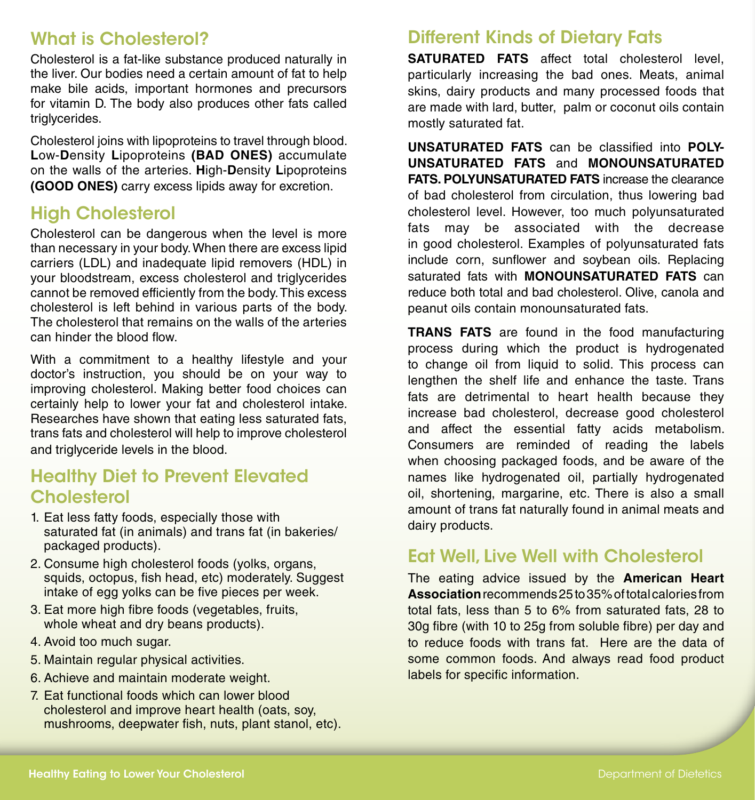## What is Cholesterol?

Cholesterol is a fat-like substance produced naturally in the liver. Our bodies need a certain amount of fat to help make bile acids, important hormones and precursors for vitamin D. The body also produces other fats called triglycerides.

Cholesterol joins with lipoproteins to travel through blood. **L**ow-**D**ensity **L**ipoproteins **(BAD ONES)** accumulate on the walls of the arteries. **H**igh-**D**ensity **L**ipoproteins **(GOOD ONES)** carry excess lipids away for excretion.

### High Cholesterol

Cholesterol can be dangerous when the level is more than necessary in your body. When there are excess lipid carriers (LDL) and inadequate lipid removers (HDL) in your bloodstream, excess cholesterol and triglycerides cannot be removed efficiently from the body. This excess cholesterol is left behind in various parts of the body. The cholesterol that remains on the walls of the arteries can hinder the blood flow.

With a commitment to a healthy lifestyle and your doctor's instruction, you should be on your way to improving cholesterol. Making better food choices can certainly help to lower your fat and cholesterol intake. Researches have shown that eating less saturated fats, trans fats and cholesterol will help to improve cholesterol and triglyceride levels in the blood.

### Healthy Diet to Prevent Elevated **Cholesterol**

- 1. Eat less fatty foods, especially those with saturated fat (in animals) and trans fat (in bakeries/ packaged products).
- 2. Consume high cholesterol foods (yolks, organs, squids, octopus, fish head, etc) moderately. Suggest intake of egg yolks can be five pieces per week.
- 3. Eat more high fibre foods (vegetables, fruits, whole wheat and dry beans products).
- 4. Avoid too much sugar.
- 5. Maintain regular physical activities.
- 6. Achieve and maintain moderate weight.
- 7. Eat functional foods which can lower blood cholesterol and improve heart health (oats, soy, mushrooms, deepwater fish, nuts, plant stanol, etc).

### Different Kinds of Dietary Fats

**SATURATED FATS** affect total cholesterol level, particularly increasing the bad ones. Meats, animal skins, dairy products and many processed foods that are made with lard, butter, palm or coconut oils contain mostly saturated fat.

**UNSATURATED FATS** can be classified into **POLY-UNSATURATED FATS** and **MONOUNSATURATED FATS. POLYUNSATURATED FATS** increase the clearance of bad cholesterol from circulation, thus lowering bad cholesterol level. However, too much polyunsaturated fats may be associated with the decrease in good cholesterol. Examples of polyunsaturated fats include corn, sunflower and soybean oils. Replacing saturated fats with **MONOUNSATURATED FATS** can reduce both total and bad cholesterol. Olive, canola and peanut oils contain monounsaturated fats.

**TRANS FATS** are found in the food manufacturing process during which the product is hydrogenated to change oil from liquid to solid. This process can lengthen the shelf life and enhance the taste. Trans fats are detrimental to heart health because they increase bad cholesterol, decrease good cholesterol and affect the essential fatty acids metabolism. Consumers are reminded of reading the labels when choosing packaged foods, and be aware of the names like hydrogenated oil, partially hydrogenated oil, shortening, margarine, etc. There is also a small amount of trans fat naturally found in animal meats and dairy products.

### Eat Well, Live Well with Cholesterol

The eating advice issued by the **American Heart Association** recommends 25 to 35% of total calories from total fats, less than 5 to 6% from saturated fats, 28 to 30g fibre (with 10 to 25g from soluble fibre) per day and to reduce foods with trans fat. Here are the data of some common foods. And always read food product labels for specific information.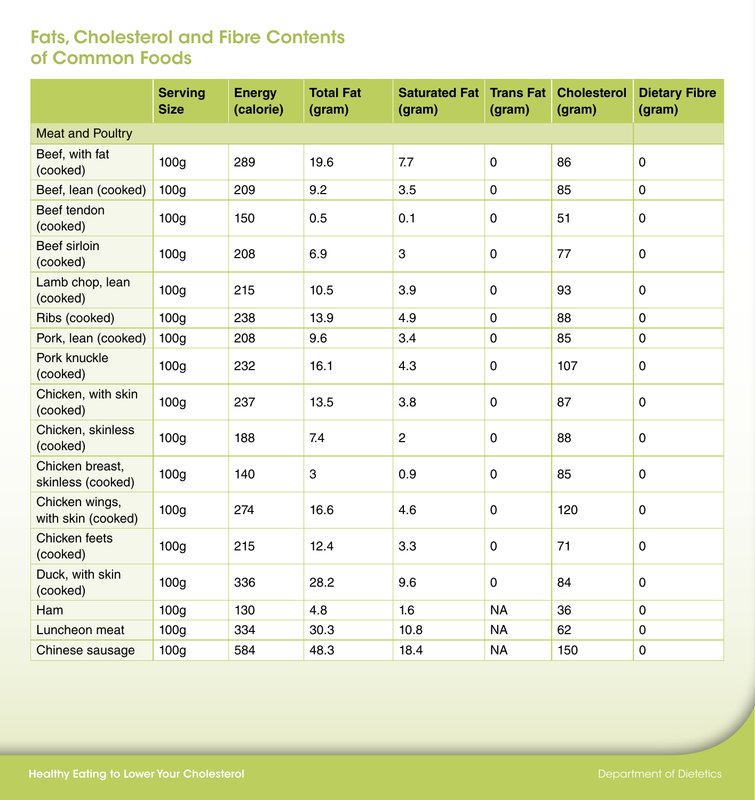|                                      | <b>Serving</b><br><b>Size</b> | <b>Energy</b><br>(calorie) | <b>Total Fat</b><br>(gram) | <b>Saturated Fat</b><br>(gram) | <b>Trans Fat</b><br>(gram) | <b>Cholesterol</b><br>(gram) | <b>Dietary Fibre</b><br>(gram) |
|--------------------------------------|-------------------------------|----------------------------|----------------------------|--------------------------------|----------------------------|------------------------------|--------------------------------|
| <b>Meat and Poultry</b>              |                               |                            |                            |                                |                            |                              |                                |
| Beef, with fat<br>(cooked)           | 100 <sub>g</sub>              | 289                        | 19.6                       | 7.7                            | $\mathbf 0$                | 86                           | $\mathbf 0$                    |
| Beef, lean (cooked)                  | 100 <sub>g</sub>              | 209                        | 9.2                        | 3.5                            | $\mathbf 0$                | 85                           | $\mathbf 0$                    |
| Beef tendon<br>(cooked)              | 100 <sub>g</sub>              | 150                        | 0.5                        | 0.1                            | 0                          | 51                           | 0                              |
| Beef sirloin<br>(cooked)             | 100 <sub>g</sub>              | 208                        | 6.9                        | 3                              | $\mathbf 0$                | 77                           | $\mathbf 0$                    |
| Lamb chop, lean<br>(cooked)          | 100 <sub>g</sub>              | 215                        | 10.5                       | 3.9                            | 0                          | 93                           | $\pmb{0}$                      |
| Ribs (cooked)                        | 100 <sub>g</sub>              | 238                        | 13.9                       | 4.9                            | $\mathbf 0$                | 88                           | $\mathbf 0$                    |
| Pork, lean (cooked)                  | 100 <sub>g</sub>              | 208                        | 9.6                        | 3.4                            | $\pmb{0}$                  | 85                           | $\pmb{0}$                      |
| Pork knuckle<br>(cooked)             | 100 <sub>g</sub>              | 232                        | 16.1                       | 4.3                            | $\mathbf 0$                | 107                          | $\pmb{0}$                      |
| Chicken, with skin<br>(cooked)       | 100 <sub>g</sub>              | 237                        | 13.5                       | 3.8                            | $\mathbf 0$                | 87                           | $\mathbf 0$                    |
| Chicken, skinless<br>(cooked)        | 100g                          | 188                        | 7.4                        | $\overline{c}$                 | $\mathbf 0$                | 88                           | $\mathbf 0$                    |
| Chicken breast,<br>skinless (cooked) | 100 <sub>g</sub>              | 140                        | 3                          | 0.9                            | 0                          | 85                           | 0                              |
| Chicken wings,<br>with skin (cooked) | 100 <sub>g</sub>              | 274                        | 16.6                       | 4.6                            | $\mathbf 0$                | 120                          | 0                              |
| Chicken feets<br>(cooked)            | 100 <sub>g</sub>              | 215                        | 12.4                       | 3.3                            | $\pmb{0}$                  | 71                           | $\pmb{0}$                      |
| Duck, with skin<br>(cooked)          | 100 <sub>g</sub>              | 336                        | 28.2                       | 9.6                            | 0                          | 84                           | 0                              |
| Ham                                  | 100 <sub>g</sub>              | 130                        | 4.8                        | 1.6                            | <b>NA</b>                  | 36                           | $\mathbf 0$                    |
| Luncheon meat                        | 100 <sub>g</sub>              | 334                        | 30.3                       | 10.8                           | <b>NA</b>                  | 62                           | $\pmb{0}$                      |
| Chinese sausage                      | 100 <sub>g</sub>              | 584                        | 48.3                       | 18.4                           | <b>NA</b>                  | 150                          | $\pmb{0}$                      |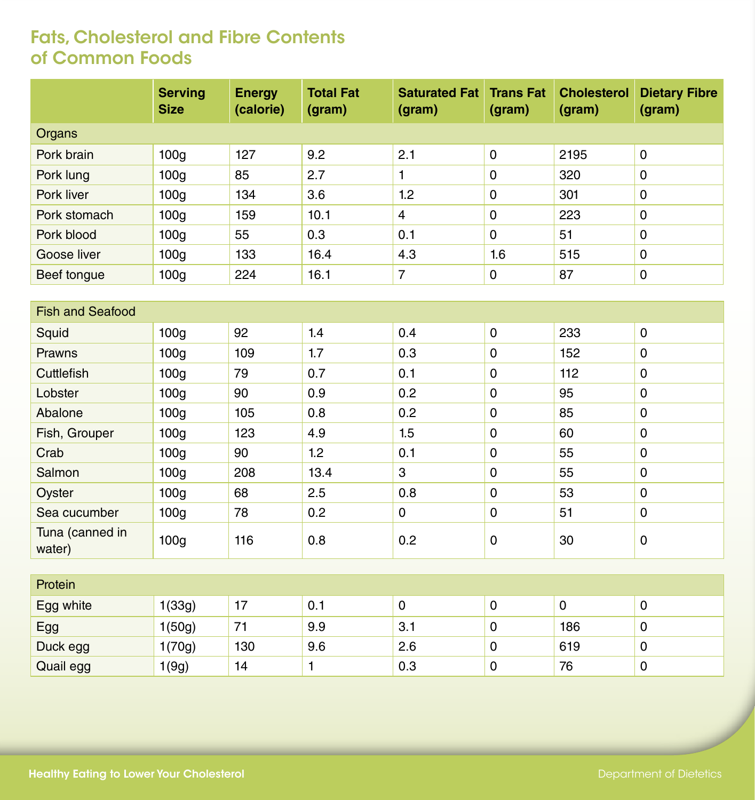|                           | <b>Serving</b><br><b>Size</b> | <b>Energy</b><br>(calorie) | <b>Total Fat</b><br>(gram) | <b>Saturated Fat</b><br>(gram) | <b>Trans Fat</b><br>(gram) | <b>Cholesterol</b><br>(gram) | <b>Dietary Fibre</b><br>(gram) |  |  |
|---------------------------|-------------------------------|----------------------------|----------------------------|--------------------------------|----------------------------|------------------------------|--------------------------------|--|--|
| Organs                    |                               |                            |                            |                                |                            |                              |                                |  |  |
| Pork brain                | 100 <sub>g</sub>              | 127                        | 9.2                        | 2.1                            | $\mathbf 0$                | 2195                         | $\pmb{0}$                      |  |  |
| Pork lung                 | 100g                          | 85                         | 2.7                        | 1                              | $\mathsf 0$                | 320                          | $\pmb{0}$                      |  |  |
| Pork liver                | 100 <sub>g</sub>              | 134                        | 3.6                        | 1.2                            | $\mathbf 0$                | 301                          | $\pmb{0}$                      |  |  |
| Pork stomach              | 100 <sub>g</sub>              | 159                        | 10.1                       | $\overline{4}$                 | $\pmb{0}$                  | 223                          | $\pmb{0}$                      |  |  |
| Pork blood                | 100 <sub>g</sub>              | 55                         | 0.3                        | 0.1                            | $\mathbf 0$                | 51                           | $\pmb{0}$                      |  |  |
| Goose liver               | 100 <sub>g</sub>              | 133                        | 16.4                       | 4.3                            | 1.6                        | 515                          | $\pmb{0}$                      |  |  |
| Beef tongue               | 100 <sub>g</sub>              | 224                        | 16.1                       | $\overline{7}$                 | $\mathsf{O}\xspace$        | 87                           | $\pmb{0}$                      |  |  |
|                           |                               |                            |                            |                                |                            |                              |                                |  |  |
| <b>Fish and Seafood</b>   |                               |                            |                            |                                |                            |                              |                                |  |  |
| Squid                     | 100g                          | 92                         | 1.4                        | 0.4                            | $\mathbf 0$                | 233                          | $\pmb{0}$                      |  |  |
| Prawns                    | 100 <sub>g</sub>              | 109                        | 1.7                        | 0.3                            | $\pmb{0}$                  | 152                          | $\pmb{0}$                      |  |  |
| Cuttlefish                | 100g                          | 79                         | 0.7                        | 0.1                            | $\mathsf 0$                | 112                          | $\mathbf 0$                    |  |  |
| Lobster                   | 100 <sub>g</sub>              | 90                         | 0.9                        | 0.2                            | $\mathbf 0$                | 95                           | $\pmb{0}$                      |  |  |
| Abalone                   | 100g                          | 105                        | 0.8                        | 0.2                            | $\mathsf 0$                | 85                           | $\pmb{0}$                      |  |  |
| Fish, Grouper             | 100 <sub>g</sub>              | 123                        | 4.9                        | 1.5                            | $\mathbf 0$                | 60                           | $\pmb{0}$                      |  |  |
| Crab                      | 100 <sub>g</sub>              | 90                         | 1.2                        | 0.1                            | $\mathsf 0$                | 55                           | $\pmb{0}$                      |  |  |
| Salmon                    | 100 <sub>g</sub>              | 208                        | 13.4                       | 3                              | $\mathbf 0$                | 55                           | $\pmb{0}$                      |  |  |
| Oyster                    | 100g                          | 68                         | 2.5                        | 0.8                            | $\mathsf 0$                | 53                           | $\pmb{0}$                      |  |  |
| Sea cucumber              | 100g                          | 78                         | 0.2                        | 0                              | $\pmb{0}$                  | 51                           | $\pmb{0}$                      |  |  |
| Tuna (canned in<br>water) | 100g                          | 116                        | 0.8                        | 0.2                            | $\mathsf{O}\xspace$        | 30                           | $\pmb{0}$                      |  |  |
|                           |                               |                            |                            |                                |                            |                              |                                |  |  |
| Protein                   |                               |                            |                            |                                |                            |                              |                                |  |  |
| Egg white                 | 1(33g)                        | 17                         | 0.1                        | 0                              | $\mathbf 0$                | $\mathbf 0$                  | $\pmb{0}$                      |  |  |
| Egg                       | 1(50g)                        | 71                         | 9.9                        | 3.1                            | $\pmb{0}$                  | 186                          | $\pmb{0}$                      |  |  |
| Duck egg                  | 1(70g)                        | 130                        | 9.6                        | 2.6                            | $\pmb{0}$                  | 619                          | $\mathbf 0$                    |  |  |
| Quail egg                 | 1(9g)                         | 14                         | $\mathbf{1}$               | 0.3                            | $\pmb{0}$                  | 76                           | $\pmb{0}$                      |  |  |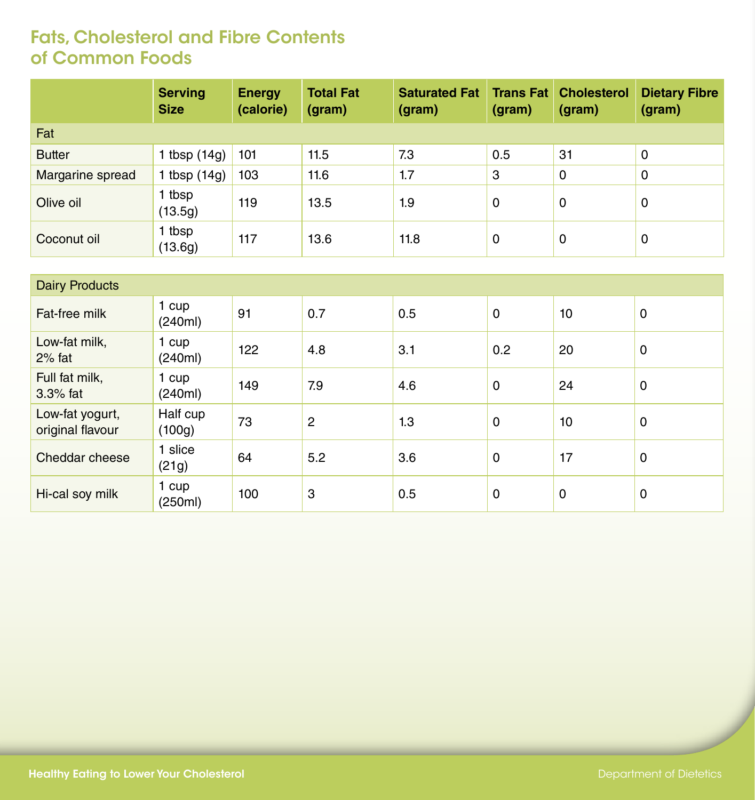|                  | <b>Serving</b><br><b>Size</b> | <b>Energy</b><br>(calorie) | <b>Total Fat</b><br>(gram) | <b>Saturated Fat</b><br>(gram) | <b>Trans Fat</b><br>(gram) | <b>Cholesterol</b><br>(gram) | <b>Dietary Fibre</b><br>(gram) |
|------------------|-------------------------------|----------------------------|----------------------------|--------------------------------|----------------------------|------------------------------|--------------------------------|
| Fat              |                               |                            |                            |                                |                            |                              |                                |
| <b>Butter</b>    | 1 tbsp $(14g)$                | 101                        | 11.5                       | 7.3                            | 0.5                        | 31                           | 0                              |
| Margarine spread | 1 tbsp $(14g)$                | 103                        | 11.6                       | 1.7                            | 3                          | 0                            | 0                              |
| Olive oil        | 1 tbsp<br>(13.5g)             | 119                        | 13.5                       | 1.9                            | 0                          | 0                            | 0                              |
| Coconut oil      | 1 tbsp<br>(13.6g)             | 117                        | 13.6                       | 11.8                           | 0                          | 0                            | 0                              |

| <b>Dairy Products</b>               |                    |     |                |     |     |    |   |  |
|-------------------------------------|--------------------|-----|----------------|-----|-----|----|---|--|
| Fat-free milk                       | 1 cup<br>(240ml)   | 91  | 0.7            | 0.5 | 0   | 10 | 0 |  |
| Low-fat milk,<br>$2%$ fat           | 1 cup<br>(240ml)   | 122 | 4.8            | 3.1 | 0.2 | 20 | 0 |  |
| Full fat milk,<br>$3.3\%$ fat       | 1 cup<br>(240ml)   | 149 | 7.9            | 4.6 | 0   | 24 | 0 |  |
| Low-fat yogurt,<br>original flavour | Half cup<br>(100g) | 73  | $\overline{2}$ | 1.3 | 0   | 10 | 0 |  |
| Cheddar cheese                      | 1 slice<br>(21g)   | 64  | 5.2            | 3.6 | 0   | 17 | 0 |  |
| Hi-cal soy milk                     | 1 cup<br>(250ml)   | 100 | 3              | 0.5 | 0   | 0  | 0 |  |